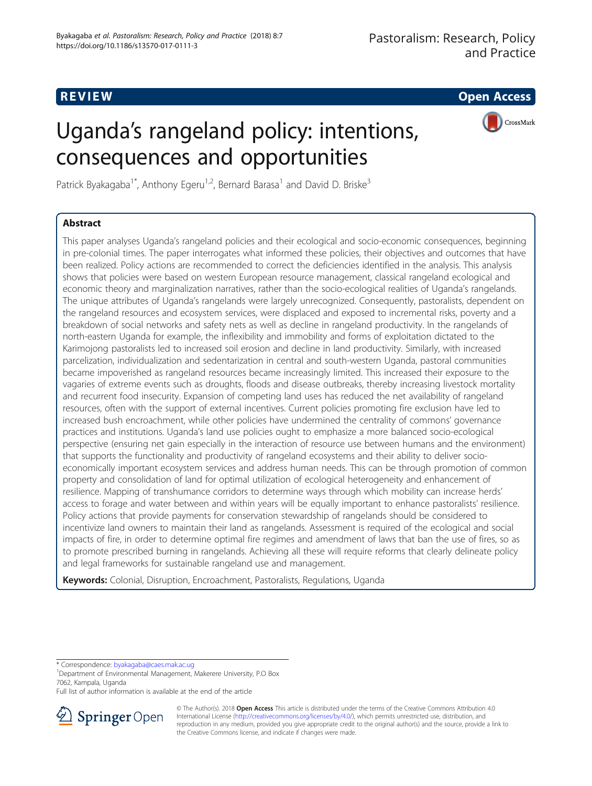**REVIEW CONSTRUCTION CONSTRUCTION CONSTRUCTS** 

# Uganda's rangeland policy: intentions, consequences and opportunities



Patrick Byakagaba<sup>1\*</sup>, Anthony Egeru<sup>1,2</sup>, Bernard Barasa<sup>1</sup> and David D. Briske<sup>3</sup>

# Abstract

This paper analyses Uganda's rangeland policies and their ecological and socio-economic consequences, beginning in pre-colonial times. The paper interrogates what informed these policies, their objectives and outcomes that have been realized. Policy actions are recommended to correct the deficiencies identified in the analysis. This analysis shows that policies were based on western European resource management, classical rangeland ecological and economic theory and marginalization narratives, rather than the socio-ecological realities of Uganda's rangelands. The unique attributes of Uganda's rangelands were largely unrecognized. Consequently, pastoralists, dependent on the rangeland resources and ecosystem services, were displaced and exposed to incremental risks, poverty and a breakdown of social networks and safety nets as well as decline in rangeland productivity. In the rangelands of north-eastern Uganda for example, the inflexibility and immobility and forms of exploitation dictated to the Karimojong pastoralists led to increased soil erosion and decline in land productivity. Similarly, with increased parcelization, individualization and sedentarization in central and south-western Uganda, pastoral communities became impoverished as rangeland resources became increasingly limited. This increased their exposure to the vagaries of extreme events such as droughts, floods and disease outbreaks, thereby increasing livestock mortality and recurrent food insecurity. Expansion of competing land uses has reduced the net availability of rangeland resources, often with the support of external incentives. Current policies promoting fire exclusion have led to increased bush encroachment, while other policies have undermined the centrality of commons' governance practices and institutions. Uganda's land use policies ought to emphasize a more balanced socio-ecological perspective (ensuring net gain especially in the interaction of resource use between humans and the environment) that supports the functionality and productivity of rangeland ecosystems and their ability to deliver socioeconomically important ecosystem services and address human needs. This can be through promotion of common property and consolidation of land for optimal utilization of ecological heterogeneity and enhancement of resilience. Mapping of transhumance corridors to determine ways through which mobility can increase herds' access to forage and water between and within years will be equally important to enhance pastoralists' resilience. Policy actions that provide payments for conservation stewardship of rangelands should be considered to incentivize land owners to maintain their land as rangelands. Assessment is required of the ecological and social impacts of fire, in order to determine optimal fire regimes and amendment of laws that ban the use of fires, so as to promote prescribed burning in rangelands. Achieving all these will require reforms that clearly delineate policy and legal frameworks for sustainable rangeland use and management.

Keywords: Colonial, Disruption, Encroachment, Pastoralists, Regulations, Uganda

\* Correspondence: [byakagaba@caes.mak.ac.ug](mailto:byakagaba@caes.mak.ac.ug) <sup>1</sup>

<sup>1</sup>Department of Environmental Management, Makerere University, P.O Box 7062, Kampala, Uganda

Full list of author information is available at the end of the article



© The Author(s). 2018 Open Access This article is distributed under the terms of the Creative Commons Attribution 4.0 International License ([http://creativecommons.org/licenses/by/4.0/\)](http://creativecommons.org/licenses/by/4.0/), which permits unrestricted use, distribution, and reproduction in any medium, provided you give appropriate credit to the original author(s) and the source, provide a link to the Creative Commons license, and indicate if changes were made.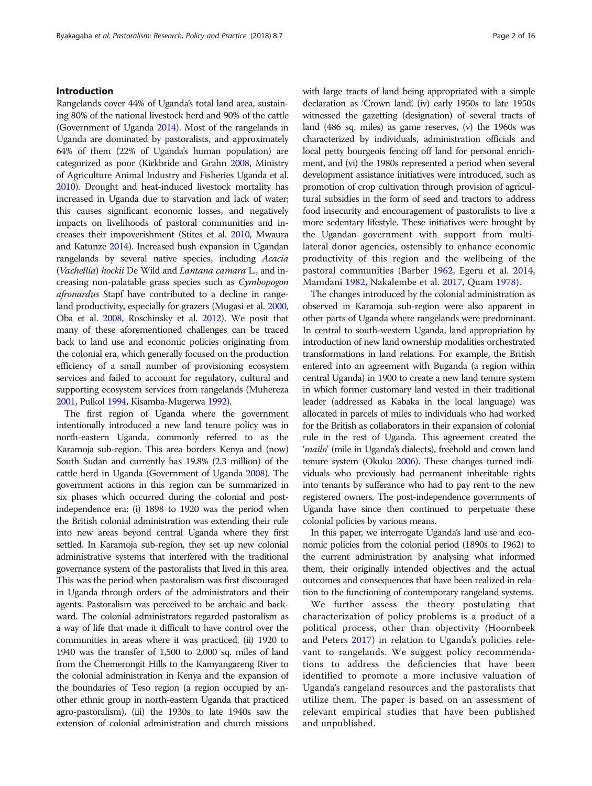# Introduction

Rangelands cover 44% of Uganda's total land area, sustaining 80% of the national livestock herd and 90% of the cattle (Government of Uganda [2014](#page-13-0)). Most of the rangelands in Uganda are dominated by pastoralists, and approximately 64% of them (22% of Uganda's human population) are categorized as poor (Kirkbride and Grahn [2008,](#page-14-0) Ministry of Agriculture Animal Industry and Fisheries Uganda et al. [2010\)](#page-14-0). Drought and heat-induced livestock mortality has increased in Uganda due to starvation and lack of water; this causes significant economic losses, and negatively impacts on livelihoods of pastoral communities and increases their impoverishment (Stites et al. [2010](#page-15-0), Mwaura and Katunze [2014](#page-14-0)). Increased bush expansion in Ugandan rangelands by several native species, including Acacia (Vachellia) hockii De Wild and Lantana camara L., and increasing non-palatable grass species such as Cymbopogon afronardus Stapf have contributed to a decline in rangeland productivity, especially for grazers (Mugasi et al. [2000](#page-14-0), Oba et al. [2008,](#page-14-0) Roschinsky et al. [2012\)](#page-15-0). We posit that many of these aforementioned challenges can be traced back to land use and economic policies originating from the colonial era, which generally focused on the production efficiency of a small number of provisioning ecosystem services and failed to account for regulatory, cultural and supporting ecosystem services from rangelands (Muhereza [2001,](#page-14-0) Pulkol [1994](#page-15-0), Kisamba-Mugerwa [1992](#page-14-0)).

The first region of Uganda where the government intentionally introduced a new land tenure policy was in north-eastern Uganda, commonly referred to as the Karamoja sub-region. This area borders Kenya and (now) South Sudan and currently has 19.8% (2.3 million) of the cattle herd in Uganda (Government of Uganda [2008](#page-13-0)). The government actions in this region can be summarized in six phases which occurred during the colonial and postindependence era: (i) 1898 to 1920 was the period when the British colonial administration was extending their rule into new areas beyond central Uganda where they first settled. In Karamoja sub-region, they set up new colonial administrative systems that interfered with the traditional governance system of the pastoralists that lived in this area. This was the period when pastoralism was first discouraged in Uganda through orders of the administrators and their agents. Pastoralism was perceived to be archaic and backward. The colonial administrators regarded pastoralism as a way of life that made it difficult to have control over the communities in areas where it was practiced. (ii) 1920 to 1940 was the transfer of 1,500 to 2,000 sq. miles of land from the Chemerongit Hills to the Kamyangareng River to the colonial administration in Kenya and the expansion of the boundaries of Teso region (a region occupied by another ethnic group in north-eastern Uganda that practiced agro-pastoralism), (iii) the 1930s to late 1940s saw the extension of colonial administration and church missions with large tracts of land being appropriated with a simple declaration as 'Crown land', (iv) early 1950s to late 1950s witnessed the gazetting (designation) of several tracts of land (486 sq. miles) as game reserves, (v) the 1960s was characterized by individuals, administration officials and local petty bourgeois fencing off land for personal enrichment, and (vi) the 1980s represented a period when several development assistance initiatives were introduced, such as promotion of crop cultivation through provision of agricultural subsidies in the form of seed and tractors to address food insecurity and encouragement of pastoralists to live a more sedentary lifestyle. These initiatives were brought by the Ugandan government with support from multilateral donor agencies, ostensibly to enhance economic productivity of this region and the wellbeing of the pastoral communities (Barber [1962,](#page-13-0) Egeru et al. [2014](#page-13-0), Mamdani [1982,](#page-14-0) Nakalembe et al. [2017](#page-14-0), Quam [1978](#page-15-0)).

The changes introduced by the colonial administration as observed in Karamoja sub-region were also apparent in other parts of Uganda where rangelands were predominant. In central to south-western Uganda, land appropriation by introduction of new land ownership modalities orchestrated transformations in land relations. For example, the British entered into an agreement with Buganda (a region within central Uganda) in 1900 to create a new land tenure system in which former customary land vested in their traditional leader (addressed as Kabaka in the local language) was allocated in parcels of miles to individuals who had worked for the British as collaborators in their expansion of colonial rule in the rest of Uganda. This agreement created the 'mailo' (mile in Uganda's dialects), freehold and crown land tenure system (Okuku [2006\)](#page-14-0). These changes turned individuals who previously had permanent inheritable rights into tenants by sufferance who had to pay rent to the new registered owners. The post-independence governments of Uganda have since then continued to perpetuate these colonial policies by various means.

In this paper, we interrogate Uganda's land use and economic policies from the colonial period (1890s to 1962) to the current administration by analysing what informed them, their originally intended objectives and the actual outcomes and consequences that have been realized in relation to the functioning of contemporary rangeland systems.

We further assess the theory postulating that characterization of policy problems is a product of a political process, other than objectivity (Hoornbeek and Peters [2017](#page-13-0)) in relation to Uganda's policies relevant to rangelands. We suggest policy recommendations to address the deficiencies that have been identified to promote a more inclusive valuation of Uganda's rangeland resources and the pastoralists that utilize them. The paper is based on an assessment of relevant empirical studies that have been published and unpublished.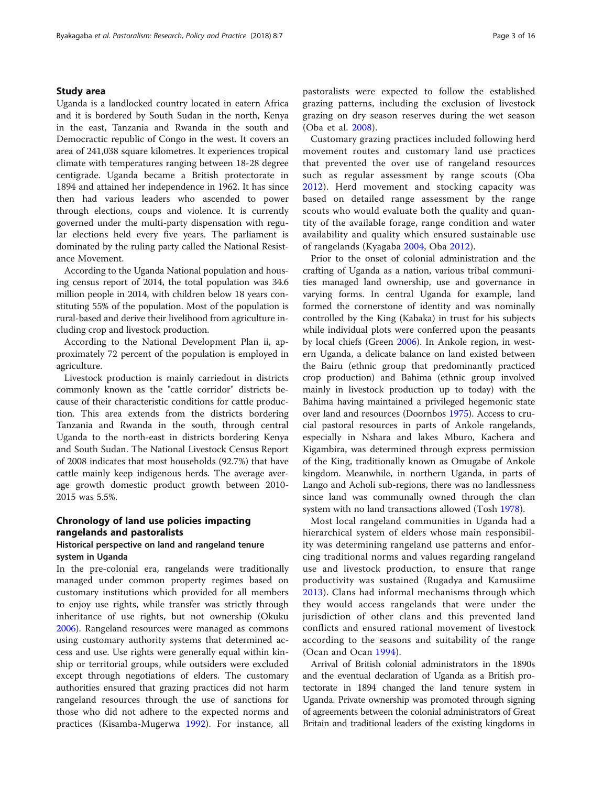# Study area

Uganda is a landlocked country located in eatern Africa and it is bordered by South Sudan in the north, Kenya in the east, Tanzania and Rwanda in the south and Democractic republic of Congo in the west. It covers an area of 241,038 square kilometres. It experiences tropical climate with temperatures ranging between 18-28 degree centigrade. Uganda became a British protectorate in 1894 and attained her independence in 1962. It has since then had various leaders who ascended to power through elections, coups and violence. It is currently governed under the multi-party dispensation with regular elections held every five years. The parliament is dominated by the ruling party called the National Resistance Movement.

According to the Uganda National population and housing census report of 2014, the total population was 34.6 million people in 2014, with children below 18 years constituting 55% of the population. Most of the population is rural-based and derive their livelihood from agriculture including crop and livestock production.

According to the National Development Plan ii, approximately 72 percent of the population is employed in agriculture.

Livestock production is mainly carriedout in districts commonly known as the "cattle corridor" districts because of their characteristic conditions for cattle production. This area extends from the districts bordering Tanzania and Rwanda in the south, through central Uganda to the north-east in districts bordering Kenya and South Sudan. The National Livestock Census Report of 2008 indicates that most households (92.7%) that have cattle mainly keep indigenous herds. The average average growth domestic product growth between 2010- 2015 was 5.5%.

# Chronology of land use policies impacting rangelands and pastoralists

# Historical perspective on land and rangeland tenure system in Uganda

In the pre-colonial era, rangelands were traditionally managed under common property regimes based on customary institutions which provided for all members to enjoy use rights, while transfer was strictly through inheritance of use rights, but not ownership (Okuku [2006](#page-14-0)). Rangeland resources were managed as commons using customary authority systems that determined access and use. Use rights were generally equal within kinship or territorial groups, while outsiders were excluded except through negotiations of elders. The customary authorities ensured that grazing practices did not harm rangeland resources through the use of sanctions for those who did not adhere to the expected norms and practices (Kisamba-Mugerwa [1992\)](#page-14-0). For instance, all pastoralists were expected to follow the established grazing patterns, including the exclusion of livestock grazing on dry season reserves during the wet season (Oba et al. [2008](#page-14-0)).

Customary grazing practices included following herd movement routes and customary land use practices that prevented the over use of rangeland resources such as regular assessment by range scouts (Oba [2012](#page-14-0)). Herd movement and stocking capacity was based on detailed range assessment by the range scouts who would evaluate both the quality and quantity of the available forage, range condition and water availability and quality which ensured sustainable use of rangelands (Kyagaba [2004,](#page-14-0) Oba [2012](#page-14-0)).

Prior to the onset of colonial administration and the crafting of Uganda as a nation, various tribal communities managed land ownership, use and governance in varying forms. In central Uganda for example, land formed the cornerstone of identity and was nominally controlled by the King (Kabaka) in trust for his subjects while individual plots were conferred upon the peasants by local chiefs (Green [2006](#page-13-0)). In Ankole region, in western Uganda, a delicate balance on land existed between the Bairu (ethnic group that predominantly practiced crop production) and Bahima (ethnic group involved mainly in livestock production up to today) with the Bahima having maintained a privileged hegemonic state over land and resources (Doornbos [1975\)](#page-13-0). Access to crucial pastoral resources in parts of Ankole rangelands, especially in Nshara and lakes Mburo, Kachera and Kigambira, was determined through express permission of the King, traditionally known as Omugabe of Ankole kingdom. Meanwhile, in northern Uganda, in parts of Lango and Acholi sub-regions, there was no landlessness since land was communally owned through the clan system with no land transactions allowed (Tosh [1978](#page-15-0)).

Most local rangeland communities in Uganda had a hierarchical system of elders whose main responsibility was determining rangeland use patterns and enforcing traditional norms and values regarding rangeland use and livestock production, to ensure that range productivity was sustained (Rugadya and Kamusiime [2013](#page-15-0)). Clans had informal mechanisms through which they would access rangelands that were under the jurisdiction of other clans and this prevented land conflicts and ensured rational movement of livestock according to the seasons and suitability of the range (Ocan and Ocan [1994](#page-14-0)).

Arrival of British colonial administrators in the 1890s and the eventual declaration of Uganda as a British protectorate in 1894 changed the land tenure system in Uganda. Private ownership was promoted through signing of agreements between the colonial administrators of Great Britain and traditional leaders of the existing kingdoms in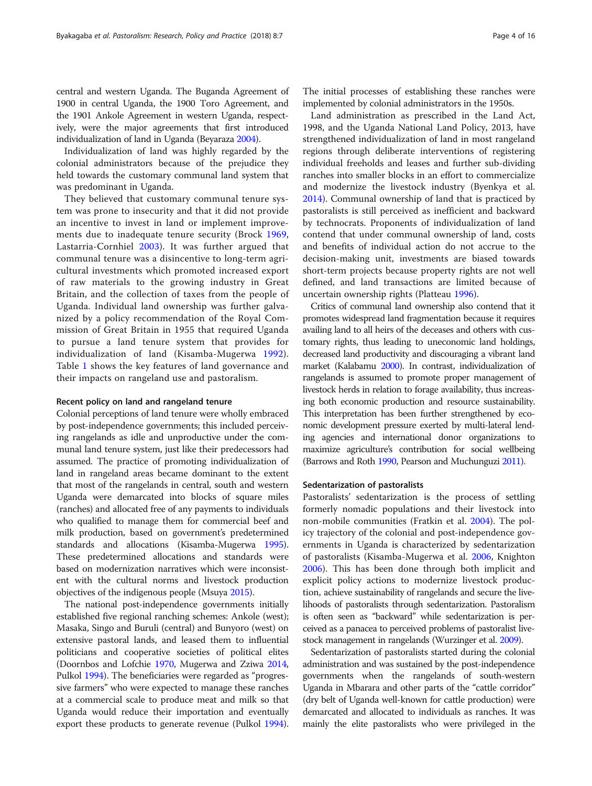central and western Uganda. The Buganda Agreement of 1900 in central Uganda, the 1900 Toro Agreement, and the 1901 Ankole Agreement in western Uganda, respectively, were the major agreements that first introduced individualization of land in Uganda (Beyaraza [2004](#page-13-0)).

Individualization of land was highly regarded by the colonial administrators because of the prejudice they held towards the customary communal land system that was predominant in Uganda.

They believed that customary communal tenure system was prone to insecurity and that it did not provide an incentive to invest in land or implement improvements due to inadequate tenure security (Brock [1969](#page-13-0), Lastarria-Cornhiel [2003](#page-14-0)). It was further argued that communal tenure was a disincentive to long-term agricultural investments which promoted increased export of raw materials to the growing industry in Great Britain, and the collection of taxes from the people of Uganda. Individual land ownership was further galvanized by a policy recommendation of the Royal Commission of Great Britain in 1955 that required Uganda to pursue a land tenure system that provides for individualization of land (Kisamba-Mugerwa [1992](#page-14-0)). Table [1](#page-4-0) shows the key features of land governance and their impacts on rangeland use and pastoralism.

## Recent policy on land and rangeland tenure

Colonial perceptions of land tenure were wholly embraced by post-independence governments; this included perceiving rangelands as idle and unproductive under the communal land tenure system, just like their predecessors had assumed. The practice of promoting individualization of land in rangeland areas became dominant to the extent that most of the rangelands in central, south and western Uganda were demarcated into blocks of square miles (ranches) and allocated free of any payments to individuals who qualified to manage them for commercial beef and milk production, based on government's predetermined standards and allocations (Kisamba-Mugerwa [1995](#page-14-0)). These predetermined allocations and standards were based on modernization narratives which were inconsistent with the cultural norms and livestock production objectives of the indigenous people (Msuya [2015\)](#page-14-0).

The national post-independence governments initially established five regional ranching schemes: Ankole (west); Masaka, Singo and Buruli (central) and Bunyoro (west) on extensive pastoral lands, and leased them to influential politicians and cooperative societies of political elites (Doornbos and Lofchie [1970,](#page-13-0) Mugerwa and Zziwa [2014](#page-14-0), Pulkol [1994](#page-15-0)). The beneficiaries were regarded as "progressive farmers" who were expected to manage these ranches at a commercial scale to produce meat and milk so that Uganda would reduce their importation and eventually export these products to generate revenue (Pulkol [1994](#page-15-0)).

The initial processes of establishing these ranches were implemented by colonial administrators in the 1950s.

Land administration as prescribed in the Land Act, 1998, and the Uganda National Land Policy, 2013, have strengthened individualization of land in most rangeland regions through deliberate interventions of registering individual freeholds and leases and further sub-dividing ranches into smaller blocks in an effort to commercialize and modernize the livestock industry (Byenkya et al. [2014](#page-13-0)). Communal ownership of land that is practiced by pastoralists is still perceived as inefficient and backward by technocrats. Proponents of individualization of land contend that under communal ownership of land, costs and benefits of individual action do not accrue to the decision-making unit, investments are biased towards short-term projects because property rights are not well defined, and land transactions are limited because of uncertain ownership rights (Platteau [1996\)](#page-14-0).

Critics of communal land ownership also contend that it promotes widespread land fragmentation because it requires availing land to all heirs of the deceases and others with customary rights, thus leading to uneconomic land holdings, decreased land productivity and discouraging a vibrant land market (Kalabamu [2000\)](#page-14-0). In contrast, individualization of rangelands is assumed to promote proper management of livestock herds in relation to forage availability, thus increasing both economic production and resource sustainability. This interpretation has been further strengthened by economic development pressure exerted by multi-lateral lending agencies and international donor organizations to maximize agriculture's contribution for social wellbeing (Barrows and Roth [1990,](#page-13-0) Pearson and Muchunguzi [2011](#page-14-0)).

### Sedentarization of pastoralists

Pastoralists' sedentarization is the process of settling formerly nomadic populations and their livestock into non-mobile communities (Fratkin et al. [2004](#page-13-0)). The policy trajectory of the colonial and post-independence governments in Uganda is characterized by sedentarization of pastoralists (Kisamba-Mugerwa et al. [2006](#page-14-0), Knighton [2006](#page-14-0)). This has been done through both implicit and explicit policy actions to modernize livestock production, achieve sustainability of rangelands and secure the livelihoods of pastoralists through sedentarization. Pastoralism is often seen as "backward" while sedentarization is perceived as a panacea to perceived problems of pastoralist livestock management in rangelands (Wurzinger et al. [2009\)](#page-15-0).

Sedentarization of pastoralists started during the colonial administration and was sustained by the post-independence governments when the rangelands of south-western Uganda in Mbarara and other parts of the "cattle corridor" (dry belt of Uganda well-known for cattle production) were demarcated and allocated to individuals as ranches. It was mainly the elite pastoralists who were privileged in the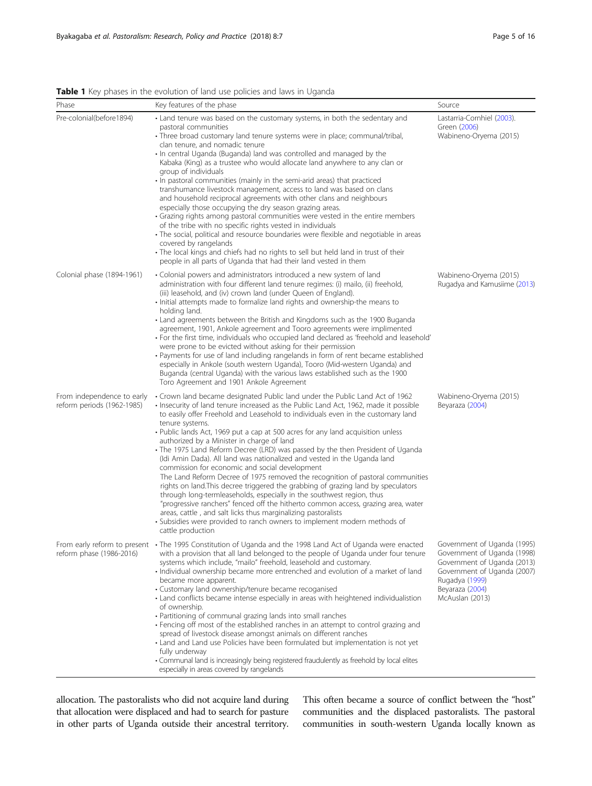<span id="page-4-0"></span>Table 1 Key phases in the evolution of land use policies and laws in Uganda

| Phase                                                    | Key features of the phase                                                                                                                                                                                                                                                                                                                                                                                                                                                                                                                                                                                                                                                                                                                                                                                                                                                                                                                                                                                                                                                                                                           | Source                                                                                                                                            |
|----------------------------------------------------------|-------------------------------------------------------------------------------------------------------------------------------------------------------------------------------------------------------------------------------------------------------------------------------------------------------------------------------------------------------------------------------------------------------------------------------------------------------------------------------------------------------------------------------------------------------------------------------------------------------------------------------------------------------------------------------------------------------------------------------------------------------------------------------------------------------------------------------------------------------------------------------------------------------------------------------------------------------------------------------------------------------------------------------------------------------------------------------------------------------------------------------------|---------------------------------------------------------------------------------------------------------------------------------------------------|
| Pre-colonial(before1894)                                 | • Land tenure was based on the customary systems, in both the sedentary and<br>pastoral communities<br>· Three broad customary land tenure systems were in place; communal/tribal,<br>clan tenure, and nomadic tenure<br>• In central Uganda (Buganda) land was controlled and managed by the<br>Kabaka (King) as a trustee who would allocate land anywhere to any clan or<br>group of individuals<br>• In pastoral communities (mainly in the semi-arid areas) that practiced<br>transhumance livestock management, access to land was based on clans<br>and household reciprocal agreements with other clans and neighbours<br>especially those occupying the dry season grazing areas.<br>• Grazing rights among pastoral communities were vested in the entire members<br>of the tribe with no specific rights vested in individuals<br>• The social, political and resource boundaries were flexible and negotiable in areas<br>covered by rangelands<br>• The local kings and chiefs had no rights to sell but held land in trust of their<br>people in all parts of Uganda that had their land vested in them               | Lastarria-Cornhiel (2003).<br>Green (2006)<br>Wabineno-Oryema (2015)                                                                              |
| Colonial phase (1894-1961)                               | • Colonial powers and administrators introduced a new system of land<br>administration with four different land tenure regimes: (i) mailo, (ii) freehold,<br>(iii) leasehold, and (iv) crown land (under Queen of England).<br>· Initial attempts made to formalize land rights and ownership-the means to<br>holding land.<br>• Land agreements between the British and Kingdoms such as the 1900 Buganda<br>agreement, 1901, Ankole agreement and Tooro agreements were implimented<br>· For the first time, individuals who occupied land declared as 'freehold and leasehold'<br>were prone to be evicted without asking for their permission<br>• Payments for use of land including rangelands in form of rent became established<br>especially in Ankole (south western Uganda), Tooro (Mid-western Uganda) and<br>Buganda (central Uganda) with the various laws established such as the 1900<br>Toro Agreement and 1901 Ankole Agreement                                                                                                                                                                                   | Wabineno-Oryema (2015)<br>Rugadya and Kamusiime (2013)                                                                                            |
| From independence to early<br>reform periods (1962-1985) | • Crown land became designated Public land under the Public Land Act of 1962<br>• Insecurity of land tenure increased as the Public Land Act, 1962, made it possible<br>to easily offer Freehold and Leasehold to individuals even in the customary land<br>tenure systems.<br>• Public lands Act, 1969 put a cap at 500 acres for any land acquisition unless<br>authorized by a Minister in charge of land<br>• The 1975 Land Reform Decree (LRD) was passed by the then President of Uganda<br>(Idi Amin Dada). All land was nationalized and vested in the Uganda land<br>commission for economic and social development<br>The Land Reform Decree of 1975 removed the recognition of pastoral communities<br>rights on land. This decree triggered the grabbing of grazing land by speculators<br>through long-termleaseholds, especially in the southwest region, thus<br>"progressive ranchers" fenced off the hitherto common access, grazing area, water<br>areas, cattle, and salt licks thus marginalizing pastoralists<br>• Subsidies were provided to ranch owners to implement modern methods of<br>cattle production | Wabineno-Oryema (2015)<br>Beyaraza (2004)                                                                                                         |
| reform phase (1986-2016)                                 | From early reform to present • The 1995 Constitution of Uganda and the 1998 Land Act of Uganda were enacted Government of Uganda (1995)<br>with a provision that all land belonged to the people of Uganda under four tenure<br>systems which include, "mailo" freehold, leasehold and customary.<br>· Individual ownership became more entrenched and evolution of a market of land<br>became more apparent.<br>• Customary land ownership/tenure became recoganised<br>• Land conflicts became intense especially in areas with heightened individualistion<br>of ownership.<br>• Partitioning of communal grazing lands into small ranches<br>• Fencing off most of the established ranches in an attempt to control grazing and<br>spread of livestock disease amongst animals on different ranches<br>• Land and Land use Policies have been formulated but implementation is not yet<br>fully underway<br>• Communal land is increasingly being registered fraudulently as freehold by local elites<br>especially in areas covered by rangelands                                                                              | Government of Uganda (1998)<br>Government of Uganda (2013)<br>Government of Uganda (2007)<br>Rugadya (1999)<br>Beyaraza (2004)<br>McAuslan (2013) |

allocation. The pastoralists who did not acquire land during that allocation were displaced and had to search for pasture in other parts of Uganda outside their ancestral territory. This often became a source of conflict between the "host" communities and the displaced pastoralists. The pastoral communities in south-western Uganda locally known as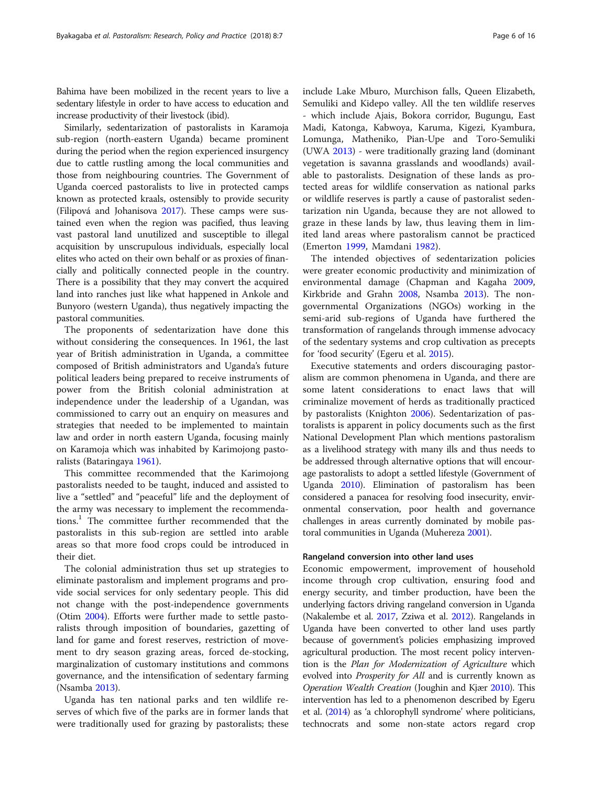Bahima have been mobilized in the recent years to live a sedentary lifestyle in order to have access to education and increase productivity of their livestock (ibid).

Similarly, sedentarization of pastoralists in Karamoja sub-region (north-eastern Uganda) became prominent during the period when the region experienced insurgency due to cattle rustling among the local communities and those from neighbouring countries. The Government of Uganda coerced pastoralists to live in protected camps known as protected kraals, ostensibly to provide security (Filipová and Johanisova [2017\)](#page-13-0). These camps were sustained even when the region was pacified, thus leaving vast pastoral land unutilized and susceptible to illegal acquisition by unscrupulous individuals, especially local elites who acted on their own behalf or as proxies of financially and politically connected people in the country. There is a possibility that they may convert the acquired land into ranches just like what happened in Ankole and Bunyoro (western Uganda), thus negatively impacting the pastoral communities.

The proponents of sedentarization have done this without considering the consequences. In 1961, the last year of British administration in Uganda, a committee composed of British administrators and Uganda's future political leaders being prepared to receive instruments of power from the British colonial administration at independence under the leadership of a Ugandan, was commissioned to carry out an enquiry on measures and strategies that needed to be implemented to maintain law and order in north eastern Uganda, focusing mainly on Karamoja which was inhabited by Karimojong pastoralists (Bataringaya [1961\)](#page-13-0).

This committee recommended that the Karimojong pastoralists needed to be taught, induced and assisted to live a "settled" and "peaceful" life and the deployment of the army was necessary to implement the recommendations.<sup>1</sup> The committee further recommended that the pastoralists in this sub-region are settled into arable areas so that more food crops could be introduced in their diet.

The colonial administration thus set up strategies to eliminate pastoralism and implement programs and provide social services for only sedentary people. This did not change with the post-independence governments (Otim [2004](#page-14-0)). Efforts were further made to settle pastoralists through imposition of boundaries, gazetting of land for game and forest reserves, restriction of movement to dry season grazing areas, forced de-stocking, marginalization of customary institutions and commons governance, and the intensification of sedentary farming (Nsamba [2013\)](#page-14-0).

Uganda has ten national parks and ten wildlife reserves of which five of the parks are in former lands that were traditionally used for grazing by pastoralists; these

include Lake Mburo, Murchison falls, Queen Elizabeth, Semuliki and Kidepo valley. All the ten wildlife reserves - which include Ajais, Bokora corridor, Bugungu, East Madi, Katonga, Kabwoya, Karuma, Kigezi, Kyambura, Lomunga, Matheniko, Pian-Upe and Toro-Semuliki (UWA [2013\)](#page-15-0) - were traditionally grazing land (dominant vegetation is savanna grasslands and woodlands) available to pastoralists. Designation of these lands as protected areas for wildlife conservation as national parks or wildlife reserves is partly a cause of pastoralist sedentarization nin Uganda, because they are not allowed to graze in these lands by law, thus leaving them in limited land areas where pastoralism cannot be practiced (Emerton [1999,](#page-13-0) Mamdani [1982](#page-14-0)).

The intended objectives of sedentarization policies were greater economic productivity and minimization of environmental damage (Chapman and Kagaha [2009](#page-13-0), Kirkbride and Grahn [2008,](#page-14-0) Nsamba [2013\)](#page-14-0). The nongovernmental Organizations (NGOs) working in the semi-arid sub-regions of Uganda have furthered the transformation of rangelands through immense advocacy of the sedentary systems and crop cultivation as precepts for 'food security' (Egeru et al. [2015](#page-13-0)).

Executive statements and orders discouraging pastoralism are common phenomena in Uganda, and there are some latent considerations to enact laws that will criminalize movement of herds as traditionally practiced by pastoralists (Knighton [2006\)](#page-14-0). Sedentarization of pastoralists is apparent in policy documents such as the first National Development Plan which mentions pastoralism as a livelihood strategy with many ills and thus needs to be addressed through alternative options that will encourage pastoralists to adopt a settled lifestyle (Government of Uganda [2010](#page-13-0)). Elimination of pastoralism has been considered a panacea for resolving food insecurity, environmental conservation, poor health and governance challenges in areas currently dominated by mobile pastoral communities in Uganda (Muhereza [2001\)](#page-14-0).

#### Rangeland conversion into other land uses

Economic empowerment, improvement of household income through crop cultivation, ensuring food and energy security, and timber production, have been the underlying factors driving rangeland conversion in Uganda (Nakalembe et al. [2017](#page-14-0), Zziwa et al. [2012](#page-15-0)). Rangelands in Uganda have been converted to other land uses partly because of government's policies emphasizing improved agricultural production. The most recent policy intervention is the Plan for Modernization of Agriculture which evolved into Prosperity for All and is currently known as Operation Wealth Creation (Joughin and Kjær [2010\)](#page-14-0). This intervention has led to a phenomenon described by Egeru et al. ([2014\)](#page-13-0) as 'a chlorophyll syndrome' where politicians, technocrats and some non-state actors regard crop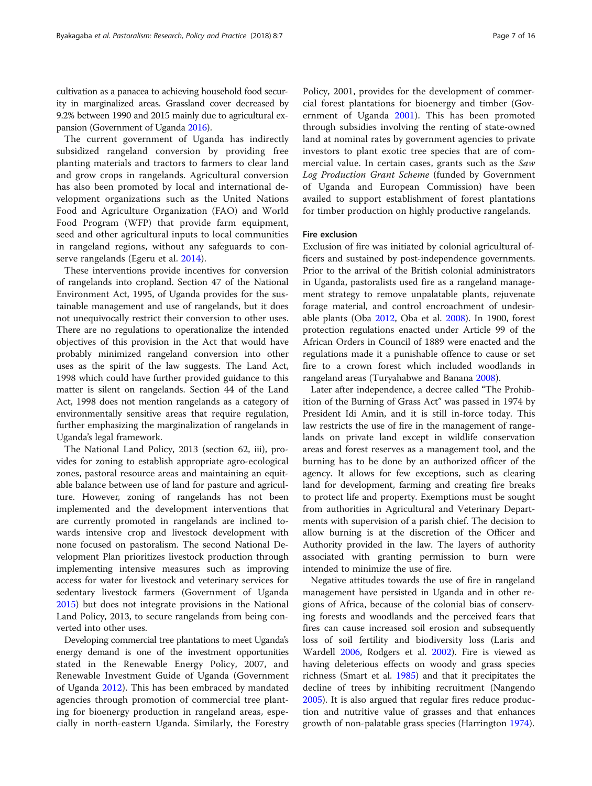cultivation as a panacea to achieving household food security in marginalized areas. Grassland cover decreased by 9.2% between 1990 and 2015 mainly due to agricultural expansion (Government of Uganda [2016](#page-13-0)).

The current government of Uganda has indirectly subsidized rangeland conversion by providing free planting materials and tractors to farmers to clear land and grow crops in rangelands. Agricultural conversion has also been promoted by local and international development organizations such as the United Nations Food and Agriculture Organization (FAO) and World Food Program (WFP) that provide farm equipment, seed and other agricultural inputs to local communities in rangeland regions, without any safeguards to conserve rangelands (Egeru et al. [2014](#page-13-0)).

These interventions provide incentives for conversion of rangelands into cropland. Section 47 of the National Environment Act, 1995, of Uganda provides for the sustainable management and use of rangelands, but it does not unequivocally restrict their conversion to other uses. There are no regulations to operationalize the intended objectives of this provision in the Act that would have probably minimized rangeland conversion into other uses as the spirit of the law suggests. The Land Act, 1998 which could have further provided guidance to this matter is silent on rangelands. Section 44 of the Land Act, 1998 does not mention rangelands as a category of environmentally sensitive areas that require regulation, further emphasizing the marginalization of rangelands in Uganda's legal framework.

The National Land Policy, 2013 (section 62, iii), provides for zoning to establish appropriate agro-ecological zones, pastoral resource areas and maintaining an equitable balance between use of land for pasture and agriculture. However, zoning of rangelands has not been implemented and the development interventions that are currently promoted in rangelands are inclined towards intensive crop and livestock development with none focused on pastoralism. The second National Development Plan prioritizes livestock production through implementing intensive measures such as improving access for water for livestock and veterinary services for sedentary livestock farmers (Government of Uganda [2015](#page-13-0)) but does not integrate provisions in the National Land Policy, 2013, to secure rangelands from being converted into other uses.

Developing commercial tree plantations to meet Uganda's energy demand is one of the investment opportunities stated in the Renewable Energy Policy, 2007, and Renewable Investment Guide of Uganda (Government of Uganda [2012\)](#page-13-0). This has been embraced by mandated agencies through promotion of commercial tree planting for bioenergy production in rangeland areas, especially in north-eastern Uganda. Similarly, the Forestry

Policy, 2001, provides for the development of commercial forest plantations for bioenergy and timber (Government of Uganda [2001](#page-13-0)). This has been promoted through subsidies involving the renting of state-owned land at nominal rates by government agencies to private investors to plant exotic tree species that are of commercial value. In certain cases, grants such as the Saw Log Production Grant Scheme (funded by Government of Uganda and European Commission) have been availed to support establishment of forest plantations for timber production on highly productive rangelands.

#### Fire exclusion

Exclusion of fire was initiated by colonial agricultural officers and sustained by post-independence governments. Prior to the arrival of the British colonial administrators in Uganda, pastoralists used fire as a rangeland management strategy to remove unpalatable plants, rejuvenate forage material, and control encroachment of undesirable plants (Oba [2012](#page-14-0), Oba et al. [2008](#page-14-0)). In 1900, forest protection regulations enacted under Article 99 of the African Orders in Council of 1889 were enacted and the regulations made it a punishable offence to cause or set fire to a crown forest which included woodlands in rangeland areas (Turyahabwe and Banana [2008\)](#page-15-0).

Later after independence, a decree called "The Prohibition of the Burning of Grass Act" was passed in 1974 by President Idi Amin, and it is still in-force today. This law restricts the use of fire in the management of rangelands on private land except in wildlife conservation areas and forest reserves as a management tool, and the burning has to be done by an authorized officer of the agency. It allows for few exceptions, such as clearing land for development, farming and creating fire breaks to protect life and property. Exemptions must be sought from authorities in Agricultural and Veterinary Departments with supervision of a parish chief. The decision to allow burning is at the discretion of the Officer and Authority provided in the law. The layers of authority associated with granting permission to burn were intended to minimize the use of fire.

Negative attitudes towards the use of fire in rangeland management have persisted in Uganda and in other regions of Africa, because of the colonial bias of conserving forests and woodlands and the perceived fears that fires can cause increased soil erosion and subsequently loss of soil fertility and biodiversity loss (Laris and Wardell [2006](#page-14-0), Rodgers et al. [2002](#page-15-0)). Fire is viewed as having deleterious effects on woody and grass species richness (Smart et al. [1985](#page-15-0)) and that it precipitates the decline of trees by inhibiting recruitment (Nangendo [2005](#page-14-0)). It is also argued that regular fires reduce production and nutritive value of grasses and that enhances growth of non-palatable grass species (Harrington [1974\)](#page-13-0).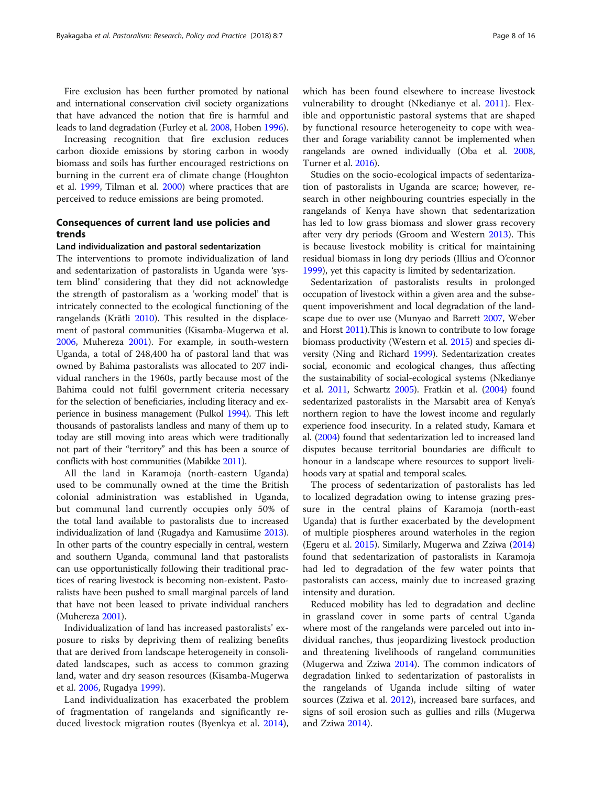Fire exclusion has been further promoted by national and international conservation civil society organizations that have advanced the notion that fire is harmful and leads to land degradation (Furley et al. [2008](#page-13-0), Hoben [1996\)](#page-13-0).

Increasing recognition that fire exclusion reduces carbon dioxide emissions by storing carbon in woody biomass and soils has further encouraged restrictions on burning in the current era of climate change (Houghton et al. [1999,](#page-14-0) Tilman et al. [2000](#page-15-0)) where practices that are perceived to reduce emissions are being promoted.

# Consequences of current land use policies and trends

#### Land individualization and pastoral sedentarization

The interventions to promote individualization of land and sedentarization of pastoralists in Uganda were 'system blind' considering that they did not acknowledge the strength of pastoralism as a 'working model' that is intricately connected to the ecological functioning of the rangelands (Krätli [2010](#page-14-0)). This resulted in the displacement of pastoral communities (Kisamba-Mugerwa et al. [2006](#page-14-0), Muhereza [2001](#page-14-0)). For example, in south-western Uganda, a total of 248,400 ha of pastoral land that was owned by Bahima pastoralists was allocated to 207 individual ranchers in the 1960s, partly because most of the Bahima could not fulfil government criteria necessary for the selection of beneficiaries, including literacy and experience in business management (Pulkol [1994\)](#page-15-0). This left thousands of pastoralists landless and many of them up to today are still moving into areas which were traditionally not part of their "territory" and this has been a source of conflicts with host communities (Mabikke [2011](#page-14-0)).

All the land in Karamoja (north-eastern Uganda) used to be communally owned at the time the British colonial administration was established in Uganda, but communal land currently occupies only 50% of the total land available to pastoralists due to increased individualization of land (Rugadya and Kamusiime [2013](#page-15-0)). In other parts of the country especially in central, western and southern Uganda, communal land that pastoralists can use opportunistically following their traditional practices of rearing livestock is becoming non-existent. Pastoralists have been pushed to small marginal parcels of land that have not been leased to private individual ranchers (Muhereza [2001\)](#page-14-0).

Individualization of land has increased pastoralists' exposure to risks by depriving them of realizing benefits that are derived from landscape heterogeneity in consolidated landscapes, such as access to common grazing land, water and dry season resources (Kisamba-Mugerwa et al. [2006,](#page-14-0) Rugadya [1999\)](#page-15-0).

Land individualization has exacerbated the problem of fragmentation of rangelands and significantly reduced livestock migration routes (Byenkya et al. [2014](#page-13-0)), which has been found elsewhere to increase livestock vulnerability to drought (Nkedianye et al. [2011](#page-14-0)). Flexible and opportunistic pastoral systems that are shaped by functional resource heterogeneity to cope with weather and forage variability cannot be implemented when rangelands are owned individually (Oba et al. [2008](#page-14-0), Turner et al. [2016\)](#page-15-0).

Studies on the socio-ecological impacts of sedentarization of pastoralists in Uganda are scarce; however, research in other neighbouring countries especially in the rangelands of Kenya have shown that sedentarization has led to low grass biomass and slower grass recovery after very dry periods (Groom and Western [2013](#page-13-0)). This is because livestock mobility is critical for maintaining residual biomass in long dry periods (Illius and O'connor [1999](#page-14-0)), yet this capacity is limited by sedentarization.

Sedentarization of pastoralists results in prolonged occupation of livestock within a given area and the subsequent impoverishment and local degradation of the landscape due to over use (Munyao and Barrett [2007,](#page-14-0) Weber and Horst [2011\)](#page-15-0).This is known to contribute to low forage biomass productivity (Western et al. [2015\)](#page-15-0) and species diversity (Ning and Richard [1999](#page-14-0)). Sedentarization creates social, economic and ecological changes, thus affecting the sustainability of social-ecological systems (Nkedianye et al. [2011](#page-14-0), Schwartz [2005\)](#page-15-0). Fratkin et al. [\(2004](#page-13-0)) found sedentarized pastoralists in the Marsabit area of Kenya's northern region to have the lowest income and regularly experience food insecurity. In a related study, Kamara et al. ([2004](#page-14-0)) found that sedentarization led to increased land disputes because territorial boundaries are difficult to honour in a landscape where resources to support livelihoods vary at spatial and temporal scales.

The process of sedentarization of pastoralists has led to localized degradation owing to intense grazing pressure in the central plains of Karamoja (north-east Uganda) that is further exacerbated by the development of multiple piospheres around waterholes in the region (Egeru et al. [2015\)](#page-13-0). Similarly, Mugerwa and Zziwa ([2014](#page-14-0)) found that sedentarization of pastoralists in Karamoja had led to degradation of the few water points that pastoralists can access, mainly due to increased grazing intensity and duration.

Reduced mobility has led to degradation and decline in grassland cover in some parts of central Uganda where most of the rangelands were parceled out into individual ranches, thus jeopardizing livestock production and threatening livelihoods of rangeland communities (Mugerwa and Zziwa [2014\)](#page-14-0). The common indicators of degradation linked to sedentarization of pastoralists in the rangelands of Uganda include silting of water sources (Zziwa et al. [2012](#page-15-0)), increased bare surfaces, and signs of soil erosion such as gullies and rills (Mugerwa and Zziwa [2014\)](#page-14-0).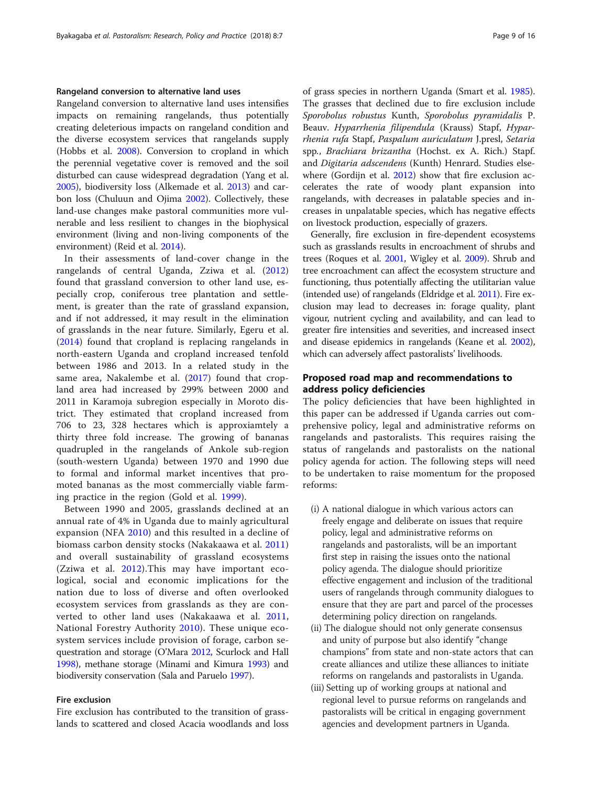# Rangeland conversion to alternative land uses

Rangeland conversion to alternative land uses intensifies impacts on remaining rangelands, thus potentially creating deleterious impacts on rangeland condition and the diverse ecosystem services that rangelands supply (Hobbs et al. [2008](#page-13-0)). Conversion to cropland in which the perennial vegetative cover is removed and the soil disturbed can cause widespread degradation (Yang et al. [2005](#page-15-0)), biodiversity loss (Alkemade et al. [2013](#page-13-0)) and carbon loss (Chuluun and Ojima [2002\)](#page-13-0). Collectively, these land-use changes make pastoral communities more vulnerable and less resilient to changes in the biophysical environment (living and non-living components of the environment) (Reid et al. [2014\)](#page-15-0).

In their assessments of land-cover change in the rangelands of central Uganda, Zziwa et al. [\(2012](#page-15-0)) found that grassland conversion to other land use, especially crop, coniferous tree plantation and settlement, is greater than the rate of grassland expansion, and if not addressed, it may result in the elimination of grasslands in the near future. Similarly, Egeru et al. ([2014\)](#page-13-0) found that cropland is replacing rangelands in north-eastern Uganda and cropland increased tenfold between 1986 and 2013. In a related study in the same area, Nakalembe et al. [\(2017](#page-14-0)) found that cropland area had increased by 299% between 2000 and 2011 in Karamoja subregion especially in Moroto district. They estimated that cropland increased from 706 to 23, 328 hectares which is approxiamtely a thirty three fold increase. The growing of bananas quadrupled in the rangelands of Ankole sub-region (south-western Uganda) between 1970 and 1990 due to formal and informal market incentives that promoted bananas as the most commercially viable farming practice in the region (Gold et al. [1999\)](#page-13-0).

Between 1990 and 2005, grasslands declined at an annual rate of 4% in Uganda due to mainly agricultural expansion (NFA [2010](#page-14-0)) and this resulted in a decline of biomass carbon density stocks (Nakakaawa et al. [2011](#page-14-0)) and overall sustainability of grassland ecosystems (Zziwa et al. [2012\)](#page-15-0).This may have important ecological, social and economic implications for the nation due to loss of diverse and often overlooked ecosystem services from grasslands as they are converted to other land uses (Nakakaawa et al. [2011](#page-14-0), National Forestry Authority [2010\)](#page-14-0). These unique ecosystem services include provision of forage, carbon sequestration and storage (O'Mara [2012,](#page-14-0) Scurlock and Hall [1998\)](#page-15-0), methane storage (Minami and Kimura [1993](#page-14-0)) and biodiversity conservation (Sala and Paruelo [1997\)](#page-15-0).

# Fire exclusion

Fire exclusion has contributed to the transition of grasslands to scattered and closed Acacia woodlands and loss of grass species in northern Uganda (Smart et al. [1985](#page-15-0)). The grasses that declined due to fire exclusion include Sporobolus robustus Kunth, Sporobolus pyramidalis P. Beauv. Hyparrhenia filipendula (Krauss) Stapf, Hyparrhenia rufa Stapf, Paspalum auriculatum J.presl, Setaria spp., Brachiara brizantha (Hochst. ex A. Rich.) Stapf. and Digitaria adscendens (Kunth) Henrard. Studies else-where (Gordijn et al. [2012\)](#page-13-0) show that fire exclusion accelerates the rate of woody plant expansion into rangelands, with decreases in palatable species and increases in unpalatable species, which has negative effects on livestock production, especially of grazers.

Generally, fire exclusion in fire-dependent ecosystems such as grasslands results in encroachment of shrubs and trees (Roques et al. [2001,](#page-15-0) Wigley et al. [2009](#page-15-0)). Shrub and tree encroachment can affect the ecosystem structure and functioning, thus potentially affecting the utilitarian value (intended use) of rangelands (Eldridge et al. [2011](#page-13-0)). Fire exclusion may lead to decreases in: forage quality, plant vigour, nutrient cycling and availability, and can lead to greater fire intensities and severities, and increased insect and disease epidemics in rangelands (Keane et al. [2002](#page-14-0)), which can adversely affect pastoralists' livelihoods.

# Proposed road map and recommendations to address policy deficiencies

The policy deficiencies that have been highlighted in this paper can be addressed if Uganda carries out comprehensive policy, legal and administrative reforms on rangelands and pastoralists. This requires raising the status of rangelands and pastoralists on the national policy agenda for action. The following steps will need to be undertaken to raise momentum for the proposed reforms:

- (i) A national dialogue in which various actors can freely engage and deliberate on issues that require policy, legal and administrative reforms on rangelands and pastoralists, will be an important first step in raising the issues onto the national policy agenda. The dialogue should prioritize effective engagement and inclusion of the traditional users of rangelands through community dialogues to ensure that they are part and parcel of the processes determining policy direction on rangelands.
- (ii) The dialogue should not only generate consensus and unity of purpose but also identify "change champions" from state and non-state actors that can create alliances and utilize these alliances to initiate reforms on rangelands and pastoralists in Uganda.
- (iii) Setting up of working groups at national and regional level to pursue reforms on rangelands and pastoralists will be critical in engaging government agencies and development partners in Uganda.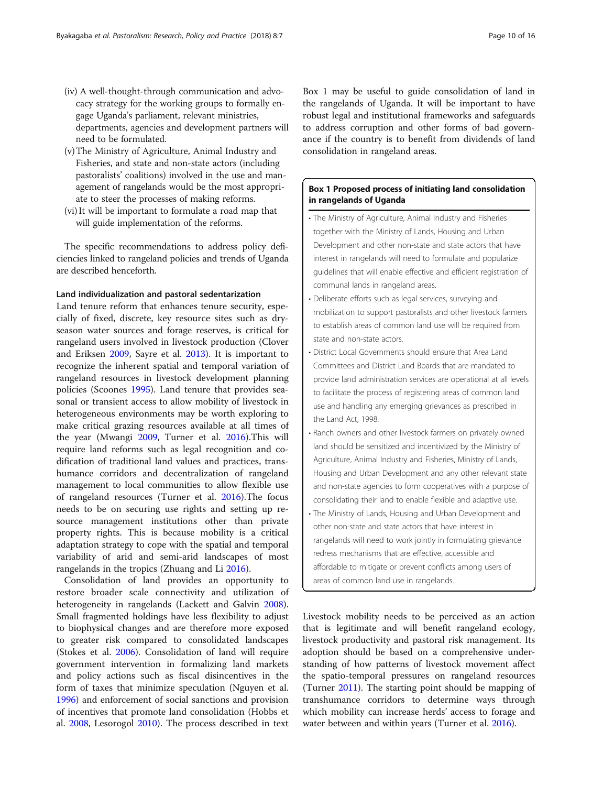- (iv) A well-thought-through communication and advocacy strategy for the working groups to formally engage Uganda's parliament, relevant ministries, departments, agencies and development partners will need to be formulated.
- (v)The Ministry of Agriculture, Animal Industry and Fisheries, and state and non-state actors (including pastoralists' coalitions) involved in the use and management of rangelands would be the most appropriate to steer the processes of making reforms.
- (vi) It will be important to formulate a road map that will guide implementation of the reforms.

The specific recommendations to address policy deficiencies linked to rangeland policies and trends of Uganda are described henceforth.

# Land individualization and pastoral sedentarization

Land tenure reform that enhances tenure security, especially of fixed, discrete, key resource sites such as dryseason water sources and forage reserves, is critical for rangeland users involved in livestock production (Clover and Eriksen [2009,](#page-13-0) Sayre et al. [2013\)](#page-15-0). It is important to recognize the inherent spatial and temporal variation of rangeland resources in livestock development planning policies (Scoones [1995](#page-15-0)). Land tenure that provides seasonal or transient access to allow mobility of livestock in heterogeneous environments may be worth exploring to make critical grazing resources available at all times of the year (Mwangi [2009,](#page-14-0) Turner et al. [2016](#page-15-0)).This will require land reforms such as legal recognition and codification of traditional land values and practices, transhumance corridors and decentralization of rangeland management to local communities to allow flexible use of rangeland resources (Turner et al. [2016\)](#page-15-0).The focus needs to be on securing use rights and setting up resource management institutions other than private property rights. This is because mobility is a critical adaptation strategy to cope with the spatial and temporal variability of arid and semi-arid landscapes of most rangelands in the tropics (Zhuang and Li [2016](#page-15-0)).

Consolidation of land provides an opportunity to restore broader scale connectivity and utilization of heterogeneity in rangelands (Lackett and Galvin [2008](#page-14-0)). Small fragmented holdings have less flexibility to adjust to biophysical changes and are therefore more exposed to greater risk compared to consolidated landscapes (Stokes et al. [2006](#page-15-0)). Consolidation of land will require government intervention in formalizing land markets and policy actions such as fiscal disincentives in the form of taxes that minimize speculation (Nguyen et al. [1996](#page-14-0)) and enforcement of social sanctions and provision of incentives that promote land consolidation (Hobbs et al. [2008](#page-13-0), Lesorogol [2010](#page-14-0)). The process described in text

Box 1 may be useful to guide consolidation of land in the rangelands of Uganda. It will be important to have robust legal and institutional frameworks and safeguards to address corruption and other forms of bad governance if the country is to benefit from dividends of land consolidation in rangeland areas.

# Box 1 Proposed process of initiating land consolidation in rangelands of Uganda

- The Ministry of Agriculture, Animal Industry and Fisheries together with the Ministry of Lands, Housing and Urban Development and other non-state and state actors that have interest in rangelands will need to formulate and popularize guidelines that will enable effective and efficient registration of communal lands in rangeland areas.
- Deliberate efforts such as legal services, surveying and mobilization to support pastoralists and other livestock farmers to establish areas of common land use will be required from state and non-state actors.
- District Local Governments should ensure that Area Land Committees and District Land Boards that are mandated to provide land administration services are operational at all levels to facilitate the process of registering areas of common land use and handling any emerging grievances as prescribed in the Land Act, 1998.
- Ranch owners and other livestock farmers on privately owned land should be sensitized and incentivized by the Ministry of Agriculture, Animal Industry and Fisheries, Ministry of Lands, Housing and Urban Development and any other relevant state and non-state agencies to form cooperatives with a purpose of consolidating their land to enable flexible and adaptive use.
- The Ministry of Lands, Housing and Urban Development and other non-state and state actors that have interest in rangelands will need to work jointly in formulating grievance redress mechanisms that are effective, accessible and affordable to mitigate or prevent conflicts among users of areas of common land use in rangelands.

Livestock mobility needs to be perceived as an action that is legitimate and will benefit rangeland ecology, livestock productivity and pastoral risk management. Its adoption should be based on a comprehensive understanding of how patterns of livestock movement affect the spatio-temporal pressures on rangeland resources (Turner [2011](#page-15-0)). The starting point should be mapping of transhumance corridors to determine ways through which mobility can increase herds' access to forage and water between and within years (Turner et al. [2016\)](#page-15-0).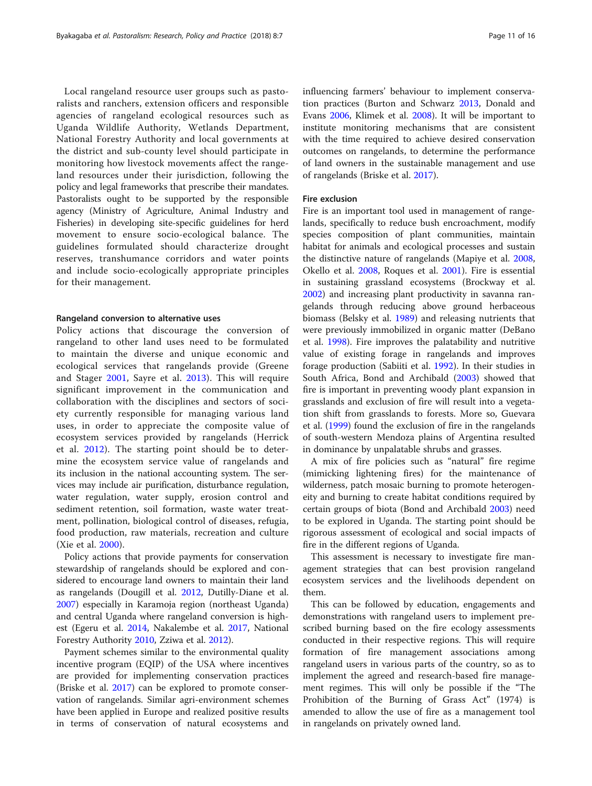Local rangeland resource user groups such as pastoralists and ranchers, extension officers and responsible agencies of rangeland ecological resources such as Uganda Wildlife Authority, Wetlands Department, National Forestry Authority and local governments at the district and sub-county level should participate in monitoring how livestock movements affect the rangeland resources under their jurisdiction, following the policy and legal frameworks that prescribe their mandates. Pastoralists ought to be supported by the responsible agency (Ministry of Agriculture, Animal Industry and Fisheries) in developing site-specific guidelines for herd movement to ensure socio-ecological balance. The guidelines formulated should characterize drought reserves, transhumance corridors and water points and include socio-ecologically appropriate principles for their management.

### Rangeland conversion to alternative uses

Policy actions that discourage the conversion of rangeland to other land uses need to be formulated to maintain the diverse and unique economic and ecological services that rangelands provide (Greene and Stager [2001,](#page-13-0) Sayre et al. [2013\)](#page-15-0). This will require significant improvement in the communication and collaboration with the disciplines and sectors of society currently responsible for managing various land uses, in order to appreciate the composite value of ecosystem services provided by rangelands (Herrick et al. [2012](#page-13-0)). The starting point should be to determine the ecosystem service value of rangelands and its inclusion in the national accounting system. The services may include air purification, disturbance regulation, water regulation, water supply, erosion control and sediment retention, soil formation, waste water treatment, pollination, biological control of diseases, refugia, food production, raw materials, recreation and culture (Xie et al. [2000\)](#page-15-0).

Policy actions that provide payments for conservation stewardship of rangelands should be explored and considered to encourage land owners to maintain their land as rangelands (Dougill et al. [2012](#page-13-0), Dutilly-Diane et al. [2007](#page-13-0)) especially in Karamoja region (northeast Uganda) and central Uganda where rangeland conversion is highest (Egeru et al. [2014,](#page-13-0) Nakalembe et al. [2017](#page-14-0), National Forestry Authority [2010](#page-14-0), Zziwa et al. [2012\)](#page-15-0).

Payment schemes similar to the environmental quality incentive program (EQIP) of the USA where incentives are provided for implementing conservation practices (Briske et al. [2017](#page-13-0)) can be explored to promote conservation of rangelands. Similar agri-environment schemes have been applied in Europe and realized positive results in terms of conservation of natural ecosystems and influencing farmers' behaviour to implement conservation practices (Burton and Schwarz [2013,](#page-13-0) Donald and Evans [2006,](#page-13-0) Klimek et al. [2008](#page-14-0)). It will be important to institute monitoring mechanisms that are consistent with the time required to achieve desired conservation outcomes on rangelands, to determine the performance of land owners in the sustainable management and use of rangelands (Briske et al. [2017](#page-13-0)).

# Fire exclusion

Fire is an important tool used in management of rangelands, specifically to reduce bush encroachment, modify species composition of plant communities, maintain habitat for animals and ecological processes and sustain the distinctive nature of rangelands (Mapiye et al. [2008](#page-14-0), Okello et al. [2008](#page-14-0), Roques et al. [2001\)](#page-15-0). Fire is essential in sustaining grassland ecosystems (Brockway et al. [2002](#page-13-0)) and increasing plant productivity in savanna rangelands through reducing above ground herbaceous biomass (Belsky et al. [1989](#page-13-0)) and releasing nutrients that were previously immobilized in organic matter (DeBano et al. [1998](#page-13-0)). Fire improves the palatability and nutritive value of existing forage in rangelands and improves forage production (Sabiiti et al. [1992](#page-15-0)). In their studies in South Africa, Bond and Archibald ([2003](#page-13-0)) showed that fire is important in preventing woody plant expansion in grasslands and exclusion of fire will result into a vegetation shift from grasslands to forests. More so, Guevara et al. ([1999](#page-13-0)) found the exclusion of fire in the rangelands of south-western Mendoza plains of Argentina resulted in dominance by unpalatable shrubs and grasses.

A mix of fire policies such as "natural" fire regime (mimicking lightening fires) for the maintenance of wilderness, patch mosaic burning to promote heterogeneity and burning to create habitat conditions required by certain groups of biota (Bond and Archibald [2003\)](#page-13-0) need to be explored in Uganda. The starting point should be rigorous assessment of ecological and social impacts of fire in the different regions of Uganda.

This assessment is necessary to investigate fire management strategies that can best provision rangeland ecosystem services and the livelihoods dependent on them.

This can be followed by education, engagements and demonstrations with rangeland users to implement prescribed burning based on the fire ecology assessments conducted in their respective regions. This will require formation of fire management associations among rangeland users in various parts of the country, so as to implement the agreed and research-based fire management regimes. This will only be possible if the "The Prohibition of the Burning of Grass Act" (1974) is amended to allow the use of fire as a management tool in rangelands on privately owned land.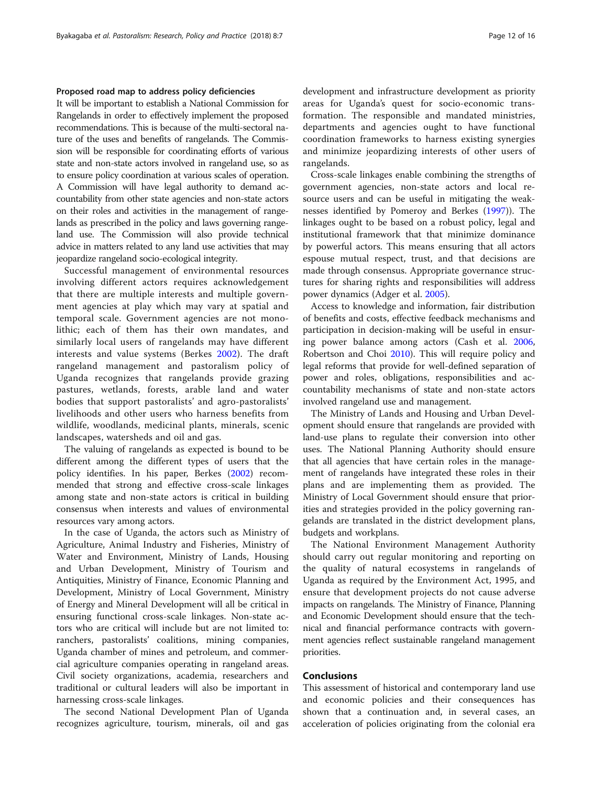# Proposed road map to address policy deficiencies

It will be important to establish a National Commission for Rangelands in order to effectively implement the proposed recommendations. This is because of the multi-sectoral nature of the uses and benefits of rangelands. The Commission will be responsible for coordinating efforts of various state and non-state actors involved in rangeland use, so as to ensure policy coordination at various scales of operation. A Commission will have legal authority to demand accountability from other state agencies and non-state actors on their roles and activities in the management of rangelands as prescribed in the policy and laws governing rangeland use. The Commission will also provide technical advice in matters related to any land use activities that may jeopardize rangeland socio-ecological integrity.

Successful management of environmental resources involving different actors requires acknowledgement that there are multiple interests and multiple government agencies at play which may vary at spatial and temporal scale. Government agencies are not monolithic; each of them has their own mandates, and similarly local users of rangelands may have different interests and value systems (Berkes [2002\)](#page-13-0). The draft rangeland management and pastoralism policy of Uganda recognizes that rangelands provide grazing pastures, wetlands, forests, arable land and water bodies that support pastoralists' and agro-pastoralists' livelihoods and other users who harness benefits from wildlife, woodlands, medicinal plants, minerals, scenic landscapes, watersheds and oil and gas.

The valuing of rangelands as expected is bound to be different among the different types of users that the policy identifies. In his paper, Berkes [\(2002\)](#page-13-0) recommended that strong and effective cross-scale linkages among state and non-state actors is critical in building consensus when interests and values of environmental resources vary among actors.

In the case of Uganda, the actors such as Ministry of Agriculture, Animal Industry and Fisheries, Ministry of Water and Environment, Ministry of Lands, Housing and Urban Development, Ministry of Tourism and Antiquities, Ministry of Finance, Economic Planning and Development, Ministry of Local Government, Ministry of Energy and Mineral Development will all be critical in ensuring functional cross-scale linkages. Non-state actors who are critical will include but are not limited to: ranchers, pastoralists' coalitions, mining companies, Uganda chamber of mines and petroleum, and commercial agriculture companies operating in rangeland areas. Civil society organizations, academia, researchers and traditional or cultural leaders will also be important in harnessing cross-scale linkages.

The second National Development Plan of Uganda recognizes agriculture, tourism, minerals, oil and gas

development and infrastructure development as priority areas for Uganda's quest for socio-economic transformation. The responsible and mandated ministries, departments and agencies ought to have functional coordination frameworks to harness existing synergies and minimize jeopardizing interests of other users of rangelands.

Cross-scale linkages enable combining the strengths of government agencies, non-state actors and local resource users and can be useful in mitigating the weaknesses identified by Pomeroy and Berkes [\(1997](#page-14-0))). The linkages ought to be based on a robust policy, legal and institutional framework that that minimize dominance by powerful actors. This means ensuring that all actors espouse mutual respect, trust, and that decisions are made through consensus. Appropriate governance structures for sharing rights and responsibilities will address power dynamics (Adger et al. [2005](#page-12-0)).

Access to knowledge and information, fair distribution of benefits and costs, effective feedback mechanisms and participation in decision-making will be useful in ensuring power balance among actors (Cash et al. [2006](#page-13-0), Robertson and Choi [2010\)](#page-15-0). This will require policy and legal reforms that provide for well-defined separation of power and roles, obligations, responsibilities and accountability mechanisms of state and non-state actors involved rangeland use and management.

The Ministry of Lands and Housing and Urban Development should ensure that rangelands are provided with land-use plans to regulate their conversion into other uses. The National Planning Authority should ensure that all agencies that have certain roles in the management of rangelands have integrated these roles in their plans and are implementing them as provided. The Ministry of Local Government should ensure that priorities and strategies provided in the policy governing rangelands are translated in the district development plans, budgets and workplans.

The National Environment Management Authority should carry out regular monitoring and reporting on the quality of natural ecosystems in rangelands of Uganda as required by the Environment Act, 1995, and ensure that development projects do not cause adverse impacts on rangelands. The Ministry of Finance, Planning and Economic Development should ensure that the technical and financial performance contracts with government agencies reflect sustainable rangeland management priorities.

# Conclusions

This assessment of historical and contemporary land use and economic policies and their consequences has shown that a continuation and, in several cases, an acceleration of policies originating from the colonial era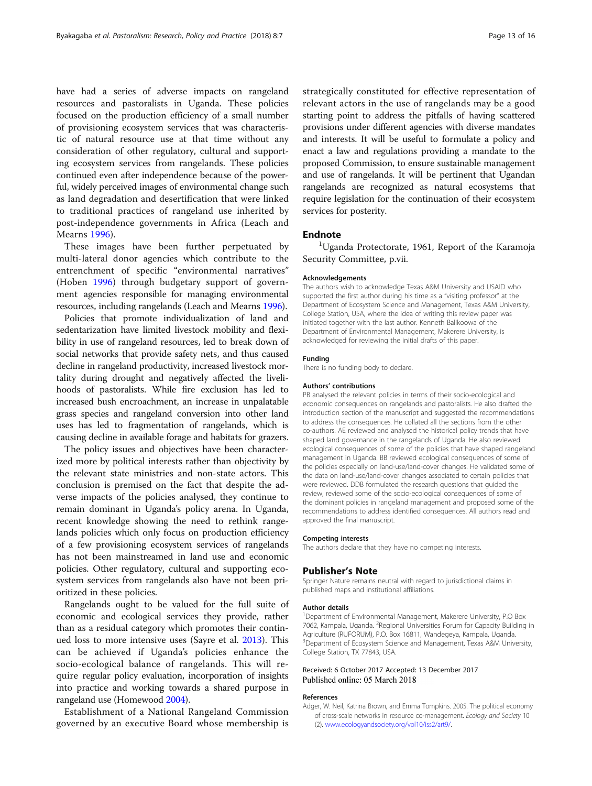<span id="page-12-0"></span>have had a series of adverse impacts on rangeland resources and pastoralists in Uganda. These policies focused on the production efficiency of a small number of provisioning ecosystem services that was characteristic of natural resource use at that time without any consideration of other regulatory, cultural and supporting ecosystem services from rangelands. These policies continued even after independence because of the powerful, widely perceived images of environmental change such as land degradation and desertification that were linked to traditional practices of rangeland use inherited by post-independence governments in Africa (Leach and Mearns [1996\)](#page-14-0).

These images have been further perpetuated by multi-lateral donor agencies which contribute to the entrenchment of specific "environmental narratives" (Hoben [1996](#page-13-0)) through budgetary support of government agencies responsible for managing environmental resources, including rangelands (Leach and Mearns [1996\)](#page-14-0).

Policies that promote individualization of land and sedentarization have limited livestock mobility and flexibility in use of rangeland resources, led to break down of social networks that provide safety nets, and thus caused decline in rangeland productivity, increased livestock mortality during drought and negatively affected the livelihoods of pastoralists. While fire exclusion has led to increased bush encroachment, an increase in unpalatable grass species and rangeland conversion into other land uses has led to fragmentation of rangelands, which is causing decline in available forage and habitats for grazers.

The policy issues and objectives have been characterized more by political interests rather than objectivity by the relevant state ministries and non-state actors. This conclusion is premised on the fact that despite the adverse impacts of the policies analysed, they continue to remain dominant in Uganda's policy arena. In Uganda, recent knowledge showing the need to rethink rangelands policies which only focus on production efficiency of a few provisioning ecosystem services of rangelands has not been mainstreamed in land use and economic policies. Other regulatory, cultural and supporting ecosystem services from rangelands also have not been prioritized in these policies.

Rangelands ought to be valued for the full suite of economic and ecological services they provide, rather than as a residual category which promotes their continued loss to more intensive uses (Sayre et al. [2013\)](#page-15-0). This can be achieved if Uganda's policies enhance the socio-ecological balance of rangelands. This will require regular policy evaluation, incorporation of insights into practice and working towards a shared purpose in rangeland use (Homewood [2004](#page-13-0)).

Establishment of a National Rangeland Commission governed by an executive Board whose membership is strategically constituted for effective representation of relevant actors in the use of rangelands may be a good starting point to address the pitfalls of having scattered provisions under different agencies with diverse mandates and interests. It will be useful to formulate a policy and enact a law and regulations providing a mandate to the proposed Commission, to ensure sustainable management and use of rangelands. It will be pertinent that Ugandan rangelands are recognized as natural ecosystems that require legislation for the continuation of their ecosystem services for posterity.

#### **Endnote**

<sup>1</sup>Uganda Protectorate, 1961, Report of the Karamoja Security Committee, p.vii.

#### Acknowledgements

The authors wish to acknowledge Texas A&M University and USAID who supported the first author during his time as a "visiting professor" at the Department of Ecosystem Science and Management, Texas A&M University, College Station, USA, where the idea of writing this review paper was initiated together with the last author. Kenneth Balikoowa of the Department of Environmental Management, Makerere University, is acknowledged for reviewing the initial drafts of this paper.

#### Funding

There is no funding body to declare.

#### Authors' contributions

PB analysed the relevant policies in terms of their socio-ecological and economic consequences on rangelands and pastoralists. He also drafted the introduction section of the manuscript and suggested the recommendations to address the consequences. He collated all the sections from the other co-authors. AE reviewed and analysed the historical policy trends that have shaped land governance in the rangelands of Uganda. He also reviewed ecological consequences of some of the policies that have shaped rangeland management in Uganda. BB reviewed ecological consequences of some of the policies especially on land-use/land-cover changes. He validated some of the data on land-use/land-cover changes associated to certain policies that were reviewed. DDB formulated the research questions that guided the review, reviewed some of the socio-ecological consequences of some of the dominant policies in rangeland management and proposed some of the recommendations to address identified consequences. All authors read and approved the final manuscript.

#### Competing interests

The authors declare that they have no competing interests.

#### Publisher's Note

Springer Nature remains neutral with regard to jurisdictional claims in published maps and institutional affiliations.

#### Author details

<sup>1</sup>Department of Environmental Management, Makerere University, P.O Box 7062, Kampala, Uganda. <sup>2</sup> Regional Universities Forum for Capacity Building in Agriculture (RUFORUM), P.O. Box 16811, Wandegeya, Kampala, Uganda. <sup>3</sup>Department of Ecosystem Science and Management, Texas A&M University College Station, TX 77843, USA.

### Received: 6 October 2017 Accepted: 13 December 2017 Published online: 05 March 2018

#### References

Adger, W. Neil, Katrina Brown, and Emma Tompkins. 2005. The political economy of cross-scale networks in resource co-management. Ecology and Society 10 (2). [www.ecologyandsociety.org/vol10/iss2/art9/.](http://www.ecologyandsociety.org/vol10/iss2/art9/)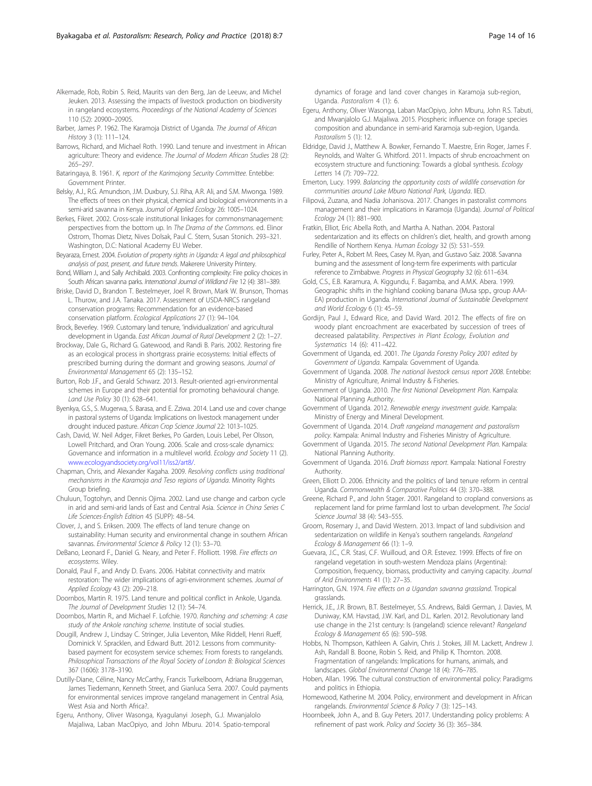- <span id="page-13-0"></span>Alkemade, Rob, Robin S. Reid, Maurits van den Berg, Jan de Leeuw, and Michel Jeuken. 2013. Assessing the impacts of livestock production on biodiversity in rangeland ecosystems. Proceedings of the National Academy of Sciences 110 (52): 20900–20905.
- Barber, James P. 1962. The Karamoja District of Uganda. The Journal of African History 3 (1): 111–124.
- Barrows, Richard, and Michael Roth. 1990. Land tenure and investment in African agriculture: Theory and evidence. The Journal of Modern African Studies 28 (2): 265–297.
- Bataringaya, B. 1961. K, report of the Karimojona Security Committee. Entebbe: Government Printer.
- Belsky, A.J., R.G. Amundson, J.M. Duxbury, S.J. Riha, A.R. Ali, and S.M. Mwonga. 1989. The effects of trees on their physical, chemical and biological environments in a semi-arid savanna in Kenya. Journal of Applied Ecology 26: 1005–1024.
- Berkes, Fikret. 2002. Cross-scale institutional linkages for commonsmanagement: perspectives from the bottom up. In The Drama of the Commons. ed. Elinor Ostrom, Thomas Dietz, Nives Dolsak, Paul C. Stern, Susan Stonich. 293–321. Washington, D.C: National Academy EU Weber.
- Beyaraza, Ernest. 2004. Evolution of property rights in Uganda: A legal and philosophical analysis of past, present, and future trends. Makerere University Printery.
- Bond, William J., and Sally Archibald. 2003. Confronting complexity: Fire policy choices in South African savanna parks. International Journal of Wildland Fire 12 (4): 381–389.
- Briske, David D., Brandon T. Bestelmeyer, Joel R. Brown, Mark W. Brunson, Thomas L. Thurow, and J.A. Tanaka. 2017. Assessment of USDA-NRCS rangeland conservation programs: Recommendation for an evidence-based conservation platform. Ecological Applications 27 (1): 94–104.
- Brock, Beverley. 1969. Customary land tenure, 'individualization' and agricultural development in Uganda. East African Journal of Rural Development 2 (2): 1–27.
- Brockway, Dale G., Richard G. Gatewood, and Randi B. Paris. 2002. Restoring fire as an ecological process in shortgrass prairie ecosystems: Initial effects of prescribed burning during the dormant and growing seasons. Journal of Environmental Management 65 (2): 135–152.
- Burton, Rob J.F., and Gerald Schwarz. 2013. Result-oriented agri-environmental schemes in Europe and their potential for promoting behavioural change. Land Use Policy 30 (1): 628–641.
- Byenkya, G.S., S. Mugerwa, S. Barasa, and E. Zziwa. 2014. Land use and cover change in pastoral systems of Uganda: Implications on livestock management under drought induced pasture. African Crop Science Journal 22: 1013–1025.
- Cash, David, W. Neil Adger, Fikret Berkes, Po Garden, Louis Lebel, Per Olsson, Lowell Pritchard, and Oran Young. 2006. Scale and cross-scale dynamics: Governance and information in a multilevel world. Ecology and Society 11 (2). [www.ecologyandsociety.org/vol11/iss2/art8/](http://www.ecologyandsociety.org/vol11/iss2/art8/).
- Chapman, Chris, and Alexander Kagaha. 2009. Resolving conflicts using traditional mechanisms in the Karamoja and Teso regions of Uganda. Minority Rights Group briefing.
- Chuluun, Togtohyn, and Dennis Ojima. 2002. Land use change and carbon cycle in arid and semi-arid lands of East and Central Asia. Science in China Series C Life Sciences-English Edition 45 (SUPP): 48–54.
- Clover, J., and S. Eriksen. 2009. The effects of land tenure change on sustainability: Human security and environmental change in southern African savannas. Environmental Science & Policy 12 (1): 53–70.
- DeBano, Leonard F., Daniel G. Neary, and Peter F. Ffolliott. 1998. Fire effects on ecosystems. Wiley.
- Donald, Paul F., and Andy D. Evans. 2006. Habitat connectivity and matrix restoration: The wider implications of agri-environment schemes. Journal of Applied Ecology 43 (2): 209–218.
- Doornbos, Martin R. 1975. Land tenure and political conflict in Ankole, Uganda. The Journal of Development Studies 12 (1): 54–74.
- Doornbos, Martin R., and Michael F. Lofchie. 1970. Ranching and scheming: A case study of the Ankole ranching scheme. Institute of social studies.
- Dougill, Andrew J., Lindsay C. Stringer, Julia Leventon, Mike Riddell, Henri Rueff, Dominick V. Spracklen, and Edward Butt. 2012. Lessons from communitybased payment for ecosystem service schemes: From forests to rangelands. Philosophical Transactions of the Royal Society of London B: Biological Sciences 367 (1606): 3178–3190.
- Dutilly-Diane, Céline, Nancy McCarthy, Francis Turkelboom, Adriana Bruggeman, James Tiedemann, Kenneth Street, and Gianluca Serra. 2007. Could payments for environmental services improve rangeland management in Central Asia, West Asia and North Africa?.
- Egeru, Anthony, Oliver Wasonga, Kyagulanyi Joseph, G.J. Mwanjalolo Majaliwa, Laban MacOpiyo, and John Mburu. 2014. Spatio-temporal

dynamics of forage and land cover changes in Karamoja sub-region, Uganda. Pastoralism 4 (1): 6.

- Egeru, Anthony, Oliver Wasonga, Laban MacOpiyo, John Mburu, John R.S. Tabuti, and Mwanjalolo G.J. Majaliwa. 2015. Piospheric influence on forage species composition and abundance in semi-arid Karamoja sub-region, Uganda. Pastoralism 5 (1): 12.
- Eldridge, David J., Matthew A. Bowker, Fernando T. Maestre, Erin Roger, James F. Reynolds, and Walter G. Whitford. 2011. Impacts of shrub encroachment on ecosystem structure and functioning: Towards a global synthesis. Ecology Letters 14 (7): 709–722.
- Emerton, Lucy. 1999. Balancing the opportunity costs of wildlife conservation for communities around Lake Mburo National Park, Uganda. IIED.
- Filipová, Zuzana, and Nadia Johanisova. 2017. Changes in pastoralist commons management and their implications in Karamoja (Uganda). Journal of Political Ecology 24 (1): 881–900.
- Fratkin, Elliot, Eric Abella Roth, and Martha A. Nathan. 2004. Pastoral sedentarization and its effects on children's diet, health, and growth among Rendille of Northern Kenya. Human Ecology 32 (5): 531–559.
- Furley, Peter A., Robert M. Rees, Casey M. Ryan, and Gustavo Saiz. 2008. Savanna burning and the assessment of long-term fire experiments with particular reference to Zimbabwe. Progress in Physical Geography 32 (6): 611–634.
- Gold, C.S., E.B. Karamura, A. Kiggundu, F. Bagamba, and A.M.K. Abera. 1999. Geographic shifts in the highland cooking banana (Musa spp., group AAA-EA) production in Uganda. International Journal of Sustainable Development and World Ecology 6 (1): 45–59.
- Gordijn, Paul J., Edward Rice, and David Ward. 2012. The effects of fire on woody plant encroachment are exacerbated by succession of trees of decreased palatability. Perspectives in Plant Ecology, Evolution and Systematics 14 (6): 411–422.
- Government of Uganda, ed. 2001. The Uganda Forestry Policy 2001 edited by Government of Uganda. Kampala: Government of Uganda.
- Government of Uganda. 2008. The national livestock census report 2008. Entebbe: Ministry of Agriculture, Animal Industry & Fisheries.
- Government of Uganda. 2010. The first National Development Plan. Kampala: National Planning Authority.
- Government of Uganda. 2012. Renewable energy investment guide. Kampala: Ministry of Energy and Mineral Development.
- Government of Uganda. 2014. Draft rangeland management and pastoralism policy. Kampala: Animal Industry and Fisheries Ministry of Agriculture.
- Government of Uganda. 2015. The second National Development Plan. Kampala: National Planning Authority.
- Government of Uganda. 2016. Draft biomass report. Kampala: National Forestry Authority.
- Green, Elliott D. 2006. Ethnicity and the politics of land tenure reform in central Uganda. Commonwealth & Comparative Politics 44 (3): 370–388.
- Greene, Richard P., and John Stager. 2001. Rangeland to cropland conversions as replacement land for prime farmland lost to urban development. The Social Science Journal 38 (4): 543–555.
- Groom, Rosemary J., and David Western. 2013. Impact of land subdivision and sedentarization on wildlife in Kenya's southern rangelands. Rangeland Ecology & Management 66 (1): 1–9.
- Guevara, J.C., C.R. Stasi, C.F. Wuilloud, and O.R. Estevez. 1999. Effects of fire on rangeland vegetation in south-western Mendoza plains (Argentina): Composition, frequency, biomass, productivity and carrying capacity. Journal of Arid Environments 41 (1): 27–35.
- Harrington, G.N. 1974. Fire effects on a Ugandan savanna grassland. Tropical grasslands.
- Herrick, J.E., J.R. Brown, B.T. Bestelmeyer, S.S. Andrews, Baldi German, J. Davies, M. Duniway, K.M. Havstad, J.W. Karl, and D.L. Karlen. 2012. Revolutionary land use change in the 21st century: Is (rangeland) science relevant? Rangeland Ecology & Management 65 (6): 590–598.
- Hobbs, N. Thompson, Kathleen A. Galvin, Chris J. Stokes, Jill M. Lackett, Andrew J. Ash, Randall B. Boone, Robin S. Reid, and Philip K. Thornton. 2008. Fragmentation of rangelands: Implications for humans, animals, and landscapes. Global Environmental Change 18 (4): 776–785.
- Hoben, Allan. 1996. The cultural construction of environmental policy: Paradigms and politics in Ethiopia.
- Homewood, Katherine M. 2004. Policy, environment and development in African rangelands. Environmental Science & Policy 7 (3): 125–143.
- Hoornbeek, John A., and B. Guy Peters. 2017. Understanding policy problems: A refinement of past work. Policy and Society 36 (3): 365–384.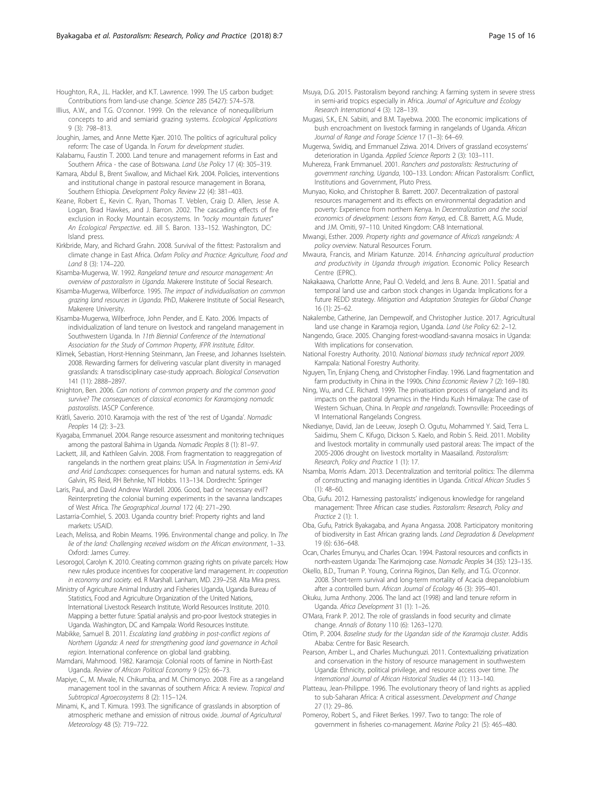- <span id="page-14-0"></span>Houghton, R.A., J.L. Hackler, and K.T. Lawrence. 1999. The US carbon budget: Contributions from land-use change. Science 285 (5427): 574–578.
- Illius, A.W., and T.G. O'connor. 1999. On the relevance of nonequilibrium concepts to arid and semiarid grazing systems. Ecological Applications 9 (3): 798–813.
- Joughin, James, and Anne Mette Kjær. 2010. The politics of agricultural policy reform: The case of Uganda. In Forum for development studies.
- Kalabamu, Faustin T. 2000. Land tenure and management reforms in East and Southern Africa - the case of Botswana. Land Use Policy 17 (4): 305–319.
- Kamara, Abdul B., Brent Swallow, and Michael Kirk. 2004. Policies, interventions and institutional change in pastoral resource management in Borana, Southern Ethiopia. Development Policy Review 22 (4): 381–403.
- Keane, Robert E., Kevin C. Ryan, Thomas T. Veblen, Craig D. Allen, Jesse A. Logan, Brad Hawkes, and J. Barron. 2002. The cascading effects of fire exclusion in Rocky Mountain ecosystems. In "rocky mountain futures" An Ecological Perspective. ed. Jill S. Baron. 133–152. Washington, DC: Island press.
- Kirkbride, Mary, and Richard Grahn. 2008. Survival of the fittest: Pastoralism and climate change in East Africa. Oxfam Policy and Practice: Agriculture, Food and Land 8 (3): 174–220.
- Kisamba-Mugerwa, W. 1992. Rangeland tenure and resource management: An overview of pastoralism in Uganda. Makerere Institute of Social Research.
- Kisamba-Mugerwa, Wilberforce. 1995. The impact of individualisation on common grazing land resources in Uganda. PhD, Makerere Institute of Social Research, Makerere University.
- Kisamba-Mugerwa, Wilberfroce, John Pender, and E. Kato. 2006. Impacts of individualization of land tenure on livestock and rangeland management in Southwestern Uganda. In 11th Biennial Conference of the International Association for the Study of Common Property, IFPR Institute, Editor.
- Klimek, Sebastian, Horst-Henning Steinmann, Jan Freese, and Johannes Isselstein. 2008. Rewarding farmers for delivering vascular plant diversity in managed grasslands: A transdisciplinary case-study approach. Biological Conservation 141 (11): 2888–2897.
- Knighton, Ben. 2006. Can notions of common property and the common good survive? The consequences of classical economics for Karamojong nomadic pastoralists. IASCP Conference.
- Krätli, Saverio. 2010. Karamoja with the rest of 'the rest of Uganda'. Nomadic Peoples 14 (2): 3–23.
- Kyagaba, Emmanuel. 2004. Range resource assessment and monitoring techniques among the pastoral Bahima in Uganda. Nomadic Peoples 8 (1): 81–97.
- Lackett, Jill, and Kathleen Galvin. 2008. From fragmentation to reaggregation of rangelands in the northern great plains: USA. In Fragmentation in Semi-Arid and Arid Landscapes: consequences for human and natural systems. eds. KA Galvin, RS Reid, RH Behnke, NT Hobbs. 113–134. Dordrecht: Springer
- Laris, Paul, and David Andrew Wardell. 2006. Good, bad or 'necessary evil'? Reinterpreting the colonial burning experiments in the savanna landscapes of West Africa. The Geographical Journal 172 (4): 271–290.
- Lastarria-Cornhiel, S. 2003. Uganda country brief: Property rights and land markets: USAID.
- Leach, Melissa, and Robin Mearns. 1996. Environmental change and policy. In The lie of the land: Challenging received wisdom on the African environment, 1–33. Oxford: James Currey.
- Lesorogol, Carolyn K. 2010. Creating common grazing rights on private parcels: How new rules produce incentives for cooperative land management. In: cooperation in economy and society. ed. R Marshall. Lanham, MD. 239–258. Alta Mira press.
- Ministry of Agriculture Animal Industry and Fisheries Uganda, Uganda Bureau of Statistics, Food and Agriculture Organization of the United Nations, International Livestock Research Institute, World Resources Institute. 2010. Mapping a better future: Spatial analysis and pro-poor livestock strategies in Uganda. Washington, DC and Kampala: World Resources Institute.
- Mabikke, Samuel B. 2011. Escalating land grabbing in post-conflict regions of Northern Uganda: A need for strengthening good land governance in Acholi region. International conference on global land grabbing.
- Mamdani, Mahmood. 1982. Karamoja: Colonial roots of famine in North-East Uganda. Review of African Political Economy 9 (25): 66–73.
- Mapiye, C., M. Mwale, N. Chikumba, and M. Chimonyo. 2008. Fire as a rangeland management tool in the savannas of southern Africa: A review. Tropical and Subtropical Agroecosystems 8 (2): 115–124.
- Minami, K., and T. Kimura. 1993. The significance of grasslands in absorption of atmospheric methane and emission of nitrous oxide. Journal of Agricultural Meteorology 48 (5): 719–722.
- Msuya, D.G. 2015. Pastoralism beyond ranching: A farming system in severe stress in semi-arid tropics especially in Africa. Journal of Agriculture and Ecology Research International 4 (3): 128–139.
- Mugasi, S.K., E.N. Sabiiti, and B.M. Tayebwa. 2000. The economic implications of bush encroachment on livestock farming in rangelands of Uganda. African Journal of Range and Forage Science 17 (1–3): 64–69.
- Mugerwa, Swidiq, and Emmanuel Zziwa. 2014. Drivers of grassland ecosystems' deterioration in Uganda. Applied Science Reports 2 (3): 103–111.
- Muhereza, Frank Emmanuel. 2001. Ranchers and pastoralists: Restructuring of government ranching, Uganda, 100–133. London: African Pastoralism: Conflict, Institutions and Government, Pluto Press.
- Munyao, Kioko, and Christopher B. Barrett. 2007. Decentralization of pastoral resources management and its effects on environmental degradation and poverty: Experience from northern Kenya. In Decentralization and the social economics of development: Lessons from Kenya, ed. C.B. Barrett, A.G. Mude, and J.M. Omiti, 97–110. United Kingdom: CAB International.
- Mwangi, Esther. 2009. Property rights and governance of Africa's rangelands: A policy overview. Natural Resources Forum.
- Mwaura, Francis, and Miriam Katunze. 2014. Enhancing agricultural production and productivity in Uganda through irrigation. Economic Policy Research Centre (EPRC).
- Nakakaawa, Charlotte Anne, Paul O. Vedeld, and Jens B. Aune. 2011. Spatial and temporal land use and carbon stock changes in Uganda: Implications for a future REDD strategy. Mitigation and Adaptation Strategies for Global Change 16 (1): 25–62.
- Nakalembe, Catherine, Jan Dempewolf, and Christopher Justice. 2017. Agricultural land use change in Karamoja region, Uganda. Land Use Policy 62: 2–12.
- Nangendo, Grace. 2005. Changing forest-woodland-savanna mosaics in Uganda: With implications for conservation.
- National Forestry Authority. 2010. National biomass study technical report 2009. Kampala: National Forestry Authority.
- Nguyen, Tin, Enjiang Cheng, and Christopher Findlay. 1996. Land fragmentation and farm productivity in China in the 1990s. China Economic Review 7 (2): 169–180.
- Ning, Wu, and C.E. Richard. 1999. The privatisation process of rangeland and its impacts on the pastoral dynamics in the Hindu Kush Himalaya: The case of Western Sichuan, China. In People and rangelands. Townsville: Proceedings of VI International Rangelands Congress.
- Nkedianye, David, Jan de Leeuw, Joseph O. Ogutu, Mohammed Y. Said, Terra L. Saidimu, Shem C. Kifugo, Dickson S. Kaelo, and Robin S. Reid. 2011. Mobility and livestock mortality in communally used pastoral areas: The impact of the 2005-2006 drought on livestock mortality in Maasailand. Pastoralism: Research, Policy and Practice 1 (1): 17.
- Nsamba, Morris Adam. 2013. Decentralization and territorial politics: The dilemma of constructing and managing identities in Uganda. Critical African Studies 5  $(1): 48 - 60$
- Oba, Gufu. 2012. Harnessing pastoralists' indigenous knowledge for rangeland management: Three African case studies. Pastoralism: Research, Policy and Practice 2 (1): 1.
- Oba, Gufu, Patrick Byakagaba, and Ayana Angassa. 2008. Participatory monitoring of biodiversity in East African grazing lands. Land Degradation & Development 19 (6): 636–648.
- Ocan, Charles Emunyu, and Charles Ocan. 1994. Pastoral resources and conflicts in north-eastern Uganda: The Karimojong case. Nomadic Peoples 34 (35): 123–135.
- Okello, B.D., Truman P. Young, Corinna Riginos, Dan Kelly, and T.G. O'connor. 2008. Short-term survival and long-term mortality of Acacia drepanolobium after a controlled burn. African Journal of Ecology 46 (3): 395–401.
- Okuku, Juma Anthony. 2006. The land act (1998) and land tenure reform in Uganda. Africa Development 31 (1): 1–26.
- O'Mara, Frank P. 2012. The role of grasslands in food security and climate change. Annals of Botany 110 (6): 1263–1270.
- Otim, P. 2004. Baseline study for the Ugandan side of the Karamoja cluster. Addis Ababa: Centre for Basic Research.
- Pearson, Amber L., and Charles Muchunguzi. 2011. Contextualizing privatization and conservation in the history of resource management in southwestern Uganda: Ethnicity, political privilege, and resource access over time. The International Journal of African Historical Studies 44 (1): 113–140.
- Platteau, Jean-Philippe. 1996. The evolutionary theory of land rights as applied to sub-Saharan Africa: A critical assessment. Development and Change 27 (1): 29–86.
- Pomeroy, Robert S., and Fikret Berkes. 1997. Two to tango: The role of government in fisheries co-management. Marine Policy 21 (5): 465–480.